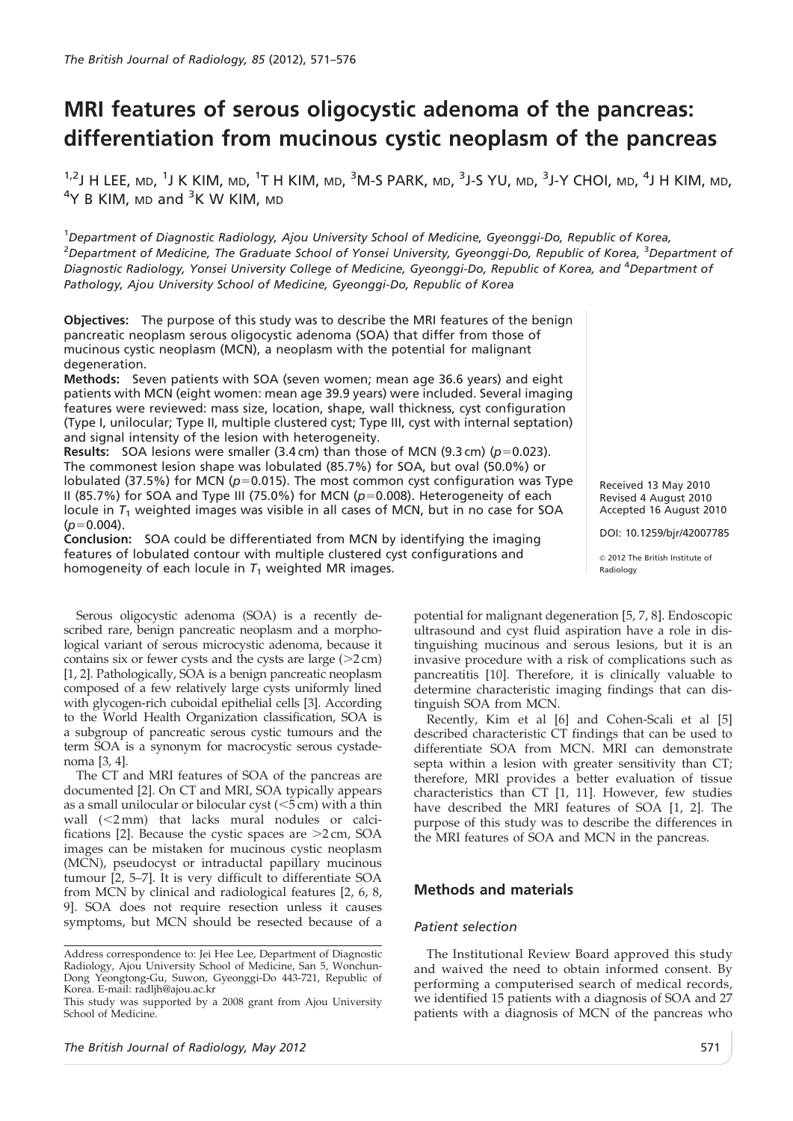# MRI features of serous oligocystic adenoma of the pancreas: differentiation from mucinous cystic neoplasm of the pancreas

 $^{1,2}$ J H LEE, md,  $^{1}$ J K KIM, md,  $^{1}$ T H KIM, md,  $^{3}$ M-S PARK, md,  $^{3}$ J-S YU, md,  $^{3}$ J-Y CHOI, md,  $^{4}$ J H KIM, md,  $4$ Y B KIM, <code>MD</code> and  $^3$ K W KIM, <code>MD</code>

<sup>1</sup>Department of Diagnostic Radiology, Ajou University School of Medicine, Gyeonggi-Do, Republic of Korea, <sup>2</sup>Department of Medicine, The Graduate School of Yonsei University, Gyeonggi-Do, Republic of Korea, <sup>3</sup>Department of Diagnostic Radiology, Yonsei University College of Medicine, Gyeonggi-Do, Republic of Korea, and <sup>4</sup>Department of Pathology, Ajou University School of Medicine, Gyeonggi-Do, Republic of Korea

Objectives: The purpose of this study was to describe the MRI features of the benign pancreatic neoplasm serous oligocystic adenoma (SOA) that differ from those of mucinous cystic neoplasm (MCN), a neoplasm with the potential for malignant degeneration.

Methods: Seven patients with SOA (seven women; mean age 36.6 years) and eight patients with MCN (eight women: mean age 39.9 years) were included. Several imaging features were reviewed: mass size, location, shape, wall thickness, cyst configuration (Type I, unilocular; Type II, multiple clustered cyst; Type III, cyst with internal septation) and signal intensity of the lesion with heterogeneity.

**Results:** SOA lesions were smaller (3.4 cm) than those of MCN (9.3 cm) ( $p=0.023$ ). The commonest lesion shape was lobulated (85.7%) for SOA, but oval (50.0%) or lobulated (37.5%) for MCN ( $p=0.015$ ). The most common cyst configuration was Type II (85.7%) for SOA and Type III (75.0%) for MCN ( $p=0.008$ ). Heterogeneity of each locule in  $T_1$  weighted images was visible in all cases of MCN, but in no case for SOA  $(p=0.004)$ .

Conclusion: SOA could be differentiated from MCN by identifying the imaging features of lobulated contour with multiple clustered cyst configurations and homogeneity of each locule in  $T_1$  weighted MR images.

Serous oligocystic adenoma (SOA) is a recently described rare, benign pancreatic neoplasm and a morphological variant of serous microcystic adenoma, because it contains six or fewer cysts and the cysts are large  $(>2 \text{ cm})$ [1, 2]. Pathologically, SOA is a benign pancreatic neoplasm composed of a few relatively large cysts uniformly lined with glycogen-rich cuboidal epithelial cells [3]. According to the World Health Organization classification, SOA is a subgroup of pancreatic serous cystic tumours and the term SOA is a synonym for macrocystic serous cystadenoma [3, 4].

The CT and MRI features of SOA of the pancreas are documented [2]. On CT and MRI, SOA typically appears as a small unilocular or bilocular cyst  $(<5$  cm) with a thin wall  $(<2$  mm) that lacks mural nodules or calcifications [2]. Because the cystic spaces are  $>2$  cm, SOA images can be mistaken for mucinous cystic neoplasm (MCN), pseudocyst or intraductal papillary mucinous tumour [2, 5–7]. It is very difficult to differentiate SOA from MCN by clinical and radiological features [2, 6, 8, 9]. SOA does not require resection unless it causes symptoms, but MCN should be resected because of a

 $@$  2012 The British Institute of Radiology potential for malignant degeneration [5, 7, 8]. Endoscopic

Received 13 May 2010 Revised 4 August 2010 Accepted 16 August 2010 DOI: 10.1259/bjr/42007785

ultrasound and cyst fluid aspiration have a role in distinguishing mucinous and serous lesions, but it is an invasive procedure with a risk of complications such as pancreatitis [10]. Therefore, it is clinically valuable to determine characteristic imaging findings that can distinguish SOA from MCN.

Recently, Kim et al [6] and Cohen-Scali et al [5] described characteristic CT findings that can be used to differentiate SOA from MCN. MRI can demonstrate septa within a lesion with greater sensitivity than CT; therefore, MRI provides a better evaluation of tissue characteristics than CT [1, 11]. However, few studies have described the MRI features of SOA [1, 2]. The purpose of this study was to describe the differences in the MRI features of SOA and MCN in the pancreas.

## Methods and materials

## Patient selection

The Institutional Review Board approved this study and waived the need to obtain informed consent. By performing a computerised search of medical records, we identified 15 patients with a diagnosis of SOA and 27 patients with a diagnosis of MCN of the pancreas who This study was supported by a 2008 grant from Ajou University

Address correspondence to: Jei Hee Lee, Department of Diagnostic Radiology, Ajou University School of Medicine, San 5, Wonchun-Dong Yeongtong-Gu, Suwon, Gyeonggi-Do 443-721, Republic of Korea. E-mail: radljh@ajou.ac.kr

School of Medicine.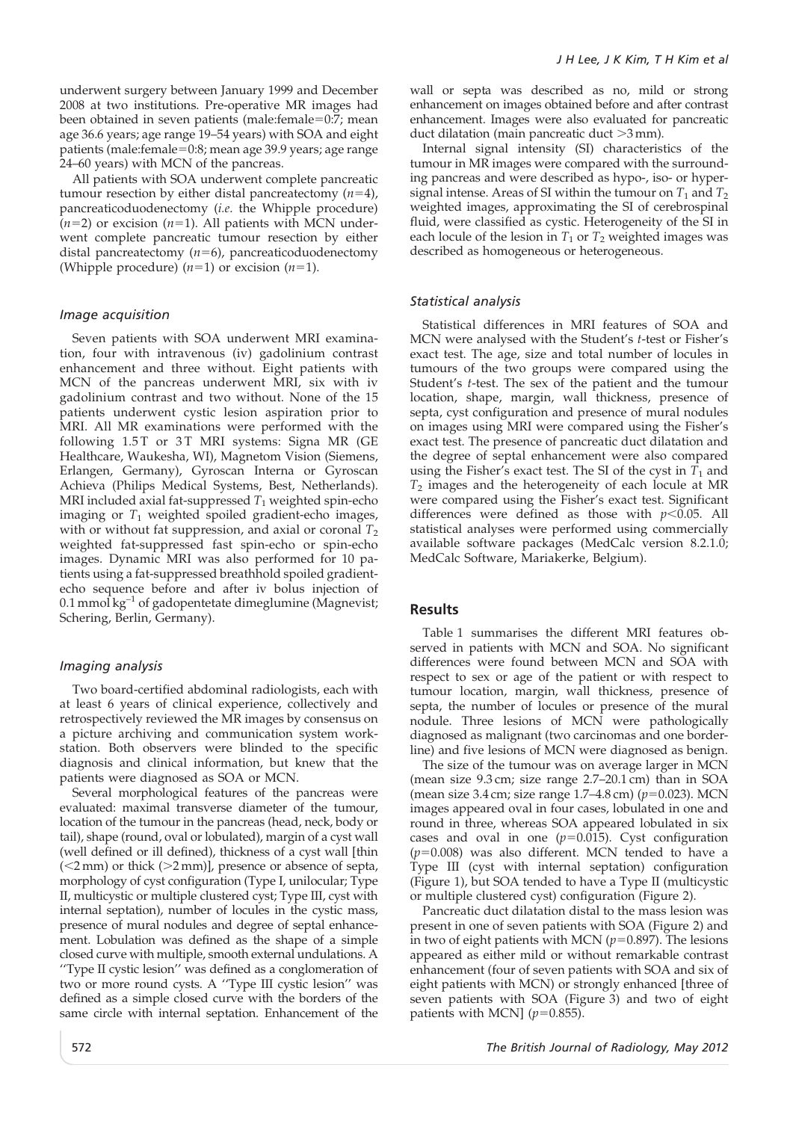underwent surgery between January 1999 and December 2008 at two institutions. Pre-operative MR images had been obtained in seven patients (male:female=0:7; mean age 36.6 years; age range 19–54 years) with SOA and eight patients (male:female=0:8; mean age 39.9 years; age range 24–60 years) with MCN of the pancreas.

All patients with SOA underwent complete pancreatic tumour resection by either distal pancreatectomy  $(n=4)$ , pancreaticoduodenectomy (i.e. the Whipple procedure)  $(n=2)$  or excision  $(n=1)$ . All patients with MCN underwent complete pancreatic tumour resection by either distal pancreatectomy  $(n=6)$ , pancreaticoduodenectomy (Whipple procedure)  $(n=1)$  or excision  $(n=1)$ .

#### Image acquisition

Seven patients with SOA underwent MRI examination, four with intravenous (iv) gadolinium contrast enhancement and three without. Eight patients with MCN of the pancreas underwent MRI, six with iv gadolinium contrast and two without. None of the 15 patients underwent cystic lesion aspiration prior to MRI. All MR examinations were performed with the following 1.5T or 3T MRI systems: Signa MR (GE Healthcare, Waukesha, WI), Magnetom Vision (Siemens, Erlangen, Germany), Gyroscan Interna or Gyroscan Achieva (Philips Medical Systems, Best, Netherlands). MRI included axial fat-suppressed  $T_1$  weighted spin-echo imaging or  $T_1$  weighted spoiled gradient-echo images, with or without fat suppression, and axial or coronal  $T_2$ weighted fat-suppressed fast spin-echo or spin-echo images. Dynamic MRI was also performed for 10 patients using a fat-suppressed breathhold spoiled gradientecho sequence before and after iv bolus injection of 0.1 mmol  $kg^{-1}$  of gadopentetate dimeglumine (Magnevist; Schering, Berlin, Germany).

### Imaging analysis

Two board-certified abdominal radiologists, each with at least 6 years of clinical experience, collectively and retrospectively reviewed the MR images by consensus on a picture archiving and communication system workstation. Both observers were blinded to the specific diagnosis and clinical information, but knew that the patients were diagnosed as SOA or MCN.

Several morphological features of the pancreas were evaluated: maximal transverse diameter of the tumour, location of the tumour in the pancreas (head, neck, body or tail), shape (round, oval or lobulated), margin of a cyst wall (well defined or ill defined), thickness of a cyst wall [thin  $(<2$  mm) or thick  $(>2$  mm)], presence or absence of septa, morphology of cyst configuration (Type I, unilocular; Type II, multicystic or multiple clustered cyst; Type III, cyst with internal septation), number of locules in the cystic mass, presence of mural nodules and degree of septal enhancement. Lobulation was defined as the shape of a simple closed curve with multiple, smooth external undulations. A ''Type II cystic lesion'' was defined as a conglomeration of two or more round cysts. A ''Type III cystic lesion'' was defined as a simple closed curve with the borders of the same circle with internal septation. Enhancement of the wall or septa was described as no, mild or strong enhancement on images obtained before and after contrast enhancement. Images were also evaluated for pancreatic duct dilatation (main pancreatic duct  $>3$  mm).

Internal signal intensity (SI) characteristics of the tumour in MR images were compared with the surrounding pancreas and were described as hypo-, iso- or hypersignal intense. Areas of SI within the tumour on  $T_1$  and  $T_2$ weighted images, approximating the SI of cerebrospinal fluid, were classified as cystic. Heterogeneity of the SI in each locule of the lesion in  $T_1$  or  $T_2$  weighted images was described as homogeneous or heterogeneous.

#### Statistical analysis

Statistical differences in MRI features of SOA and MCN were analysed with the Student's t-test or Fisher's exact test. The age, size and total number of locules in tumours of the two groups were compared using the Student's t-test. The sex of the patient and the tumour location, shape, margin, wall thickness, presence of septa, cyst configuration and presence of mural nodules on images using MRI were compared using the Fisher's exact test. The presence of pancreatic duct dilatation and the degree of septal enhancement were also compared using the Fisher's exact test. The SI of the cyst in  $T_1$  and  $T_2$  images and the heterogeneity of each locule at MR were compared using the Fisher's exact test. Significant differences were defined as those with  $p<0.05$ . All statistical analyses were performed using commercially available software packages (MedCalc version 8.2.1.0; MedCalc Software, Mariakerke, Belgium).

## Results

Table 1 summarises the different MRI features observed in patients with MCN and SOA. No significant differences were found between MCN and SOA with respect to sex or age of the patient or with respect to tumour location, margin, wall thickness, presence of septa, the number of locules or presence of the mural nodule. Three lesions of MCN were pathologically diagnosed as malignant (two carcinomas and one borderline) and five lesions of MCN were diagnosed as benign.

The size of the tumour was on average larger in MCN (mean size 9.3 cm; size range 2.7–20.1 cm) than in SOA (mean size 3.4 cm; size range 1.7–4.8 cm) ( $p=0.023$ ). MCN images appeared oval in four cases, lobulated in one and round in three, whereas SOA appeared lobulated in six cases and oval in one  $(p=0.015)$ . Cyst configuration  $(p=0.008)$  was also different. MCN tended to have a Type III (cyst with internal septation) configuration (Figure 1), but SOA tended to have a Type II (multicystic or multiple clustered cyst) configuration (Figure 2).

Pancreatic duct dilatation distal to the mass lesion was present in one of seven patients with SOA (Figure 2) and in two of eight patients with MCN ( $p=0.897$ ). The lesions appeared as either mild or without remarkable contrast enhancement (four of seven patients with SOA and six of eight patients with MCN) or strongly enhanced [three of seven patients with SOA (Figure 3) and two of eight patients with MCN]  $(p=0.855)$ .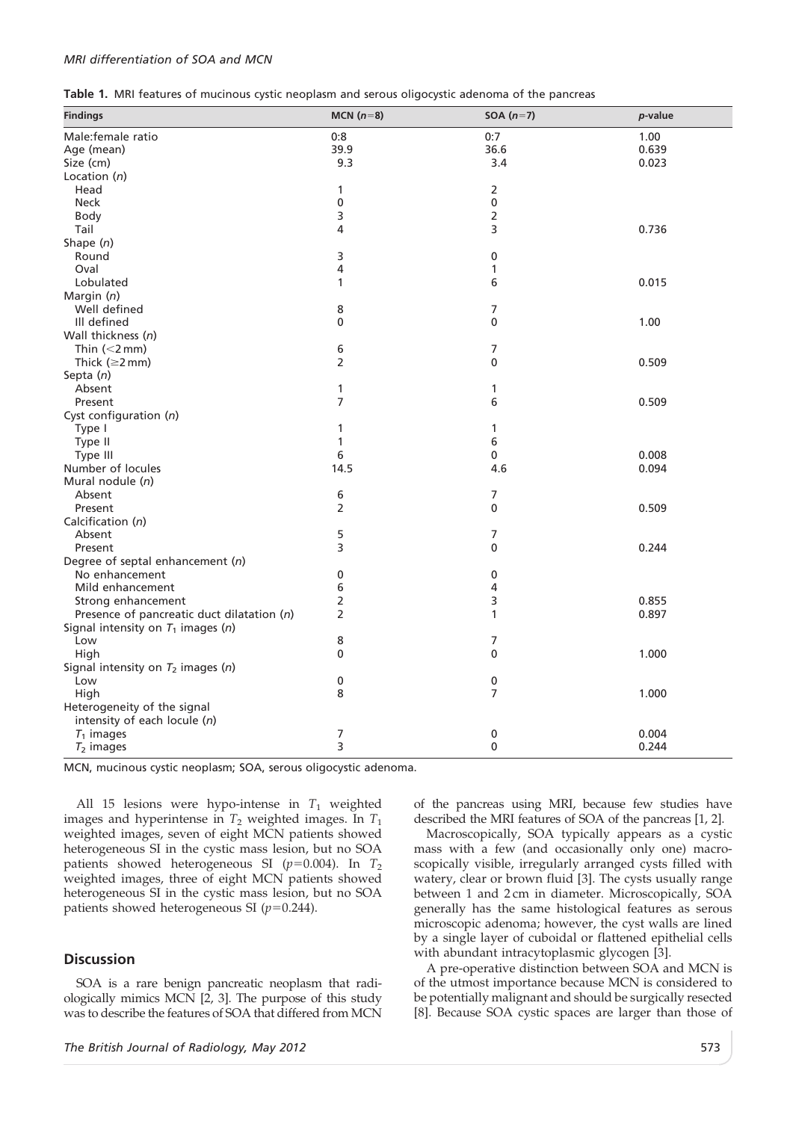#### MRI differentiation of SOA and MCN

| Table 1. MRI features of mucinous cystic neoplasm and serous oligocystic adenoma of the pancreas |  |  |  |  |
|--------------------------------------------------------------------------------------------------|--|--|--|--|
|--------------------------------------------------------------------------------------------------|--|--|--|--|

| <b>Findings</b>                            | MCN $(n=8)$             | SOA $(n=7)$  | p-value |
|--------------------------------------------|-------------------------|--------------|---------|
| Male:female ratio                          | 0:8                     | 0:7          | 1.00    |
| Age (mean)                                 | 39.9                    | 36.6         | 0.639   |
| Size (cm)                                  | 9.3                     | 3.4          | 0.023   |
| Location $(n)$                             |                         |              |         |
| Head                                       | 1                       | 2            |         |
| <b>Neck</b>                                | $\pmb{0}$               | 0            |         |
| <b>Body</b>                                | 3                       | 2            |         |
| Tail                                       | 4                       | 3            | 0.736   |
| Shape $(n)$                                |                         |              |         |
| Round                                      | 3                       | 0            |         |
| Oval                                       | $\overline{\mathbf{4}}$ | $\mathbf{1}$ |         |
| Lobulated                                  | $\mathbf{1}$            | 6            | 0.015   |
| Margin (n)                                 |                         |              |         |
| Well defined                               | 8                       | 7            |         |
| Ill defined                                | 0                       | 0            | 1.00    |
| Wall thickness (n)                         |                         |              |         |
| Thin $(<2$ mm)                             | 6                       | 7            |         |
| Thick ( $\geq$ 2 mm)                       | $\overline{2}$          | 0            | 0.509   |
| Septa $(n)$                                |                         |              |         |
| Absent                                     | $\mathbf{1}$            | 1            |         |
| Present                                    | $\overline{7}$          | 6            | 0.509   |
| Cyst configuration (n)                     |                         |              |         |
| Type I                                     | 1                       | $\mathbf{1}$ |         |
| Type II                                    | $\mathbf{1}$            | 6            |         |
| Type III                                   | 6                       | 0            | 0.008   |
| Number of locules                          | 14.5                    | 4.6          | 0.094   |
| Mural nodule (n)                           |                         |              |         |
| Absent                                     | 6                       | 7            |         |
| Present                                    | $\overline{2}$          | 0            | 0.509   |
| Calcification (n)                          |                         |              |         |
| Absent                                     | 5                       | 7            |         |
| Present                                    | 3                       | 0            | 0.244   |
| Degree of septal enhancement (n)           |                         |              |         |
| No enhancement                             | 0                       | 0            |         |
| Mild enhancement                           | 6                       | 4            |         |
| Strong enhancement                         | $\overline{2}$          | 3            | 0.855   |
| Presence of pancreatic duct dilatation (n) | $\overline{2}$          | 1            | 0.897   |
| Signal intensity on $T_1$ images (n)       |                         |              |         |
| Low                                        | 8                       | 7            |         |
| High                                       | $\mathbf 0$             | 0            | 1.000   |
| Signal intensity on $T_2$ images (n)       |                         |              |         |
| Low                                        | 0                       | 0            |         |
| High                                       | 8                       | 7            | 1.000   |
| Heterogeneity of the signal                |                         |              |         |
| intensity of each locule (n)               |                         |              |         |
| $T_1$ images                               | 7                       | 0            | 0.004   |
| $T_2$ images                               | 3                       | 0            | 0.244   |

MCN, mucinous cystic neoplasm; SOA, serous oligocystic adenoma.

All 15 lesions were hypo-intense in  $T_1$  weighted images and hyperintense in  $T_2$  weighted images. In  $T_1$ weighted images, seven of eight MCN patients showed heterogeneous SI in the cystic mass lesion, but no SOA patients showed heterogeneous SI ( $p=0.004$ ). In T<sub>2</sub> weighted images, three of eight MCN patients showed heterogeneous SI in the cystic mass lesion, but no SOA patients showed heterogeneous SI ( $p=0.244$ ).

## **Discussion**

SOA is a rare benign pancreatic neoplasm that radiologically mimics MCN [2, 3]. The purpose of this study was to describe the features of SOA that differed from MCN of the pancreas using MRI, because few studies have described the MRI features of SOA of the pancreas [1, 2].

Macroscopically, SOA typically appears as a cystic mass with a few (and occasionally only one) macroscopically visible, irregularly arranged cysts filled with watery, clear or brown fluid [3]. The cysts usually range between 1 and 2 cm in diameter. Microscopically, SOA generally has the same histological features as serous microscopic adenoma; however, the cyst walls are lined by a single layer of cuboidal or flattened epithelial cells with abundant intracytoplasmic glycogen [3].

A pre-operative distinction between SOA and MCN is of the utmost importance because MCN is considered to be potentially malignant and should be surgically resected [8]. Because SOA cystic spaces are larger than those of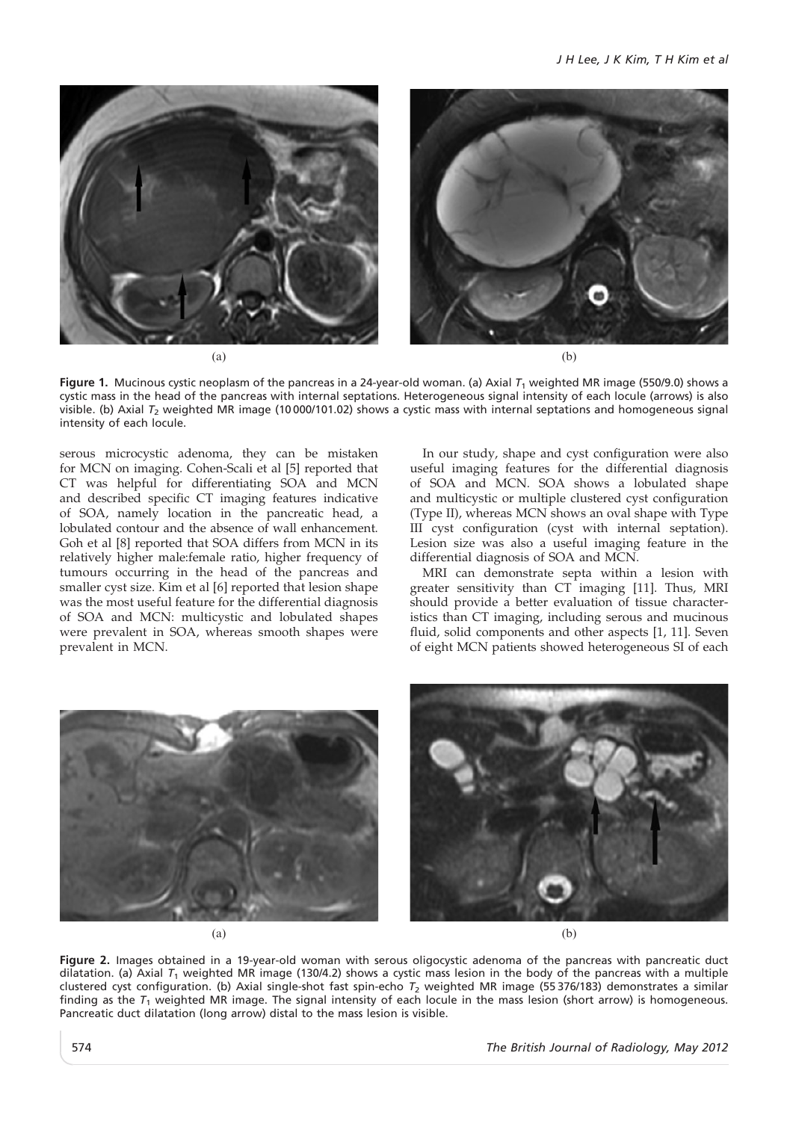

Figure 1. Mucinous cystic neoplasm of the pancreas in a 24-year-old woman. (a) Axial  $T_1$  weighted MR image (550/9.0) shows a cystic mass in the head of the pancreas with internal septations. Heterogeneous signal intensity of each locule (arrows) is also visible. (b) Axial  $T_2$  weighted MR image (10000/101.02) shows a cystic mass with internal septations and homogeneous signal intensity of each locule.

serous microcystic adenoma, they can be mistaken for MCN on imaging. Cohen-Scali et al [5] reported that CT was helpful for differentiating SOA and MCN and described specific CT imaging features indicative of SOA, namely location in the pancreatic head, a lobulated contour and the absence of wall enhancement. Goh et al [8] reported that SOA differs from MCN in its relatively higher male:female ratio, higher frequency of tumours occurring in the head of the pancreas and smaller cyst size. Kim et al [6] reported that lesion shape was the most useful feature for the differential diagnosis of SOA and MCN: multicystic and lobulated shapes were prevalent in SOA, whereas smooth shapes were prevalent in MCN.

In our study, shape and cyst configuration were also useful imaging features for the differential diagnosis of SOA and MCN. SOA shows a lobulated shape and multicystic or multiple clustered cyst configuration (Type II), whereas MCN shows an oval shape with Type III cyst configuration (cyst with internal septation). Lesion size was also a useful imaging feature in the differential diagnosis of SOA and MCN.

MRI can demonstrate septa within a lesion with greater sensitivity than CT imaging [11]. Thus, MRI should provide a better evaluation of tissue characteristics than CT imaging, including serous and mucinous fluid, solid components and other aspects [1, 11]. Seven of eight MCN patients showed heterogeneous SI of each



 $(a)$  (b)

Figure 2. Images obtained in a 19-year-old woman with serous oligocystic adenoma of the pancreas with pancreatic duct dilatation. (a) Axial  $T_1$  weighted MR image (130/4.2) shows a cystic mass lesion in the body of the pancreas with a multiple clustered cyst configuration. (b) Axial single-shot fast spin-echo  $T_2$  weighted MR image (55376/183) demonstrates a similar finding as the  $T_1$  weighted MR image. The signal intensity of each locule in the mass lesion (short arrow) is homogeneous. Pancreatic duct dilatation (long arrow) distal to the mass lesion is visible.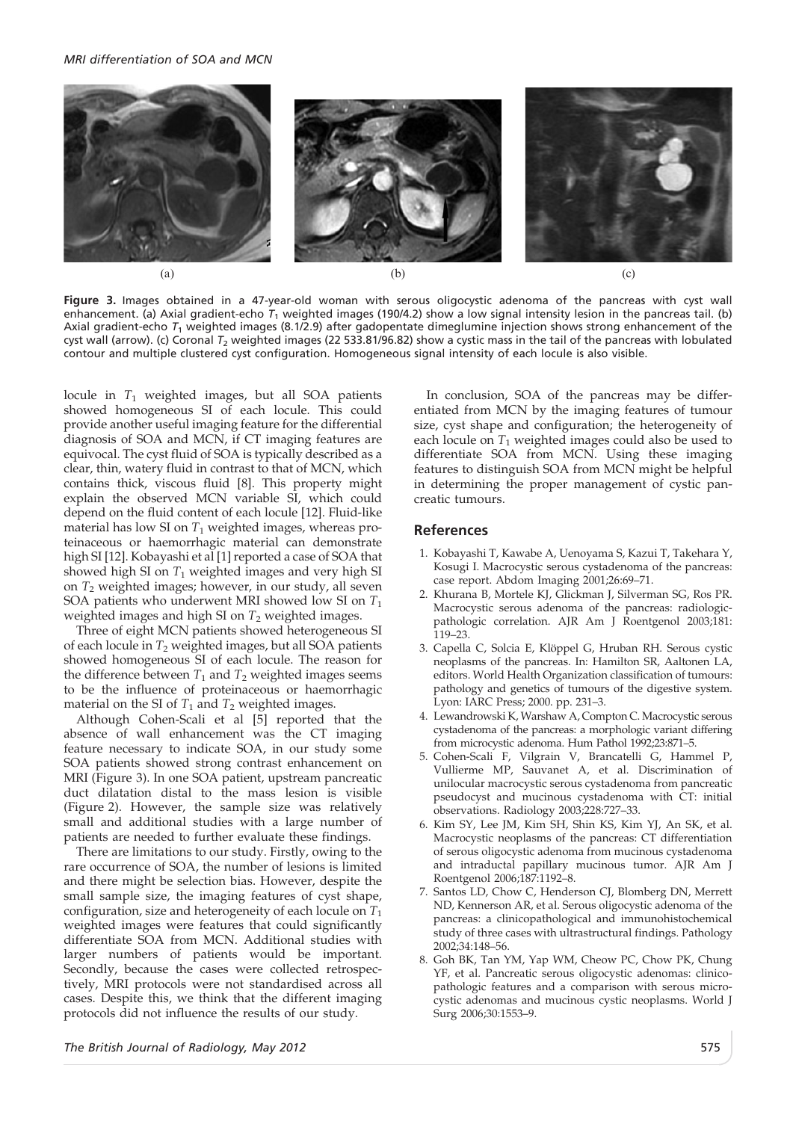#### MRI differentiation of SOA and MCN



Figure 3. Images obtained in a 47-year-old woman with serous oligocystic adenoma of the pancreas with cyst wall enhancement. (a) Axial gradient-echo  $T_1$  weighted images (190/4.2) show a low signal intensity lesion in the pancreas tail. (b) Axial gradient-echo  $T_1$  weighted images (8.1/2.9) after gadopentate dimeglumine injection shows strong enhancement of the cyst wall (arrow). (c) Coronal  $T_2$  weighted images (22 533.81/96.82) show a cystic mass in the tail of the pancreas with lobulated contour and multiple clustered cyst configuration. Homogeneous signal intensity of each locule is also visible.

locule in  $T_1$  weighted images, but all SOA patients showed homogeneous SI of each locule. This could provide another useful imaging feature for the differential diagnosis of SOA and MCN, if CT imaging features are equivocal. The cyst fluid of SOA is typically described as a clear, thin, watery fluid in contrast to that of MCN, which contains thick, viscous fluid [8]. This property might explain the observed MCN variable SI, which could depend on the fluid content of each locule [12]. Fluid-like material has low SI on  $T_1$  weighted images, whereas proteinaceous or haemorrhagic material can demonstrate high SI [12]. Kobayashi et al [1] reported a case of SOA that showed high SI on  $T_1$  weighted images and very high SI on  $T_2$  weighted images; however, in our study, all seven SOA patients who underwent MRI showed low SI on  $T_1$ weighted images and high SI on  $T_2$  weighted images.

Three of eight MCN patients showed heterogeneous SI of each locule in  $T_2$  weighted images, but all SOA patients showed homogeneous SI of each locule. The reason for the difference between  $T_1$  and  $T_2$  weighted images seems to be the influence of proteinaceous or haemorrhagic material on the SI of  $T_1$  and  $T_2$  weighted images.

Although Cohen-Scali et al [5] reported that the absence of wall enhancement was the CT imaging feature necessary to indicate SOA, in our study some SOA patients showed strong contrast enhancement on MRI (Figure 3). In one SOA patient, upstream pancreatic duct dilatation distal to the mass lesion is visible (Figure 2). However, the sample size was relatively small and additional studies with a large number of patients are needed to further evaluate these findings.

There are limitations to our study. Firstly, owing to the rare occurrence of SOA, the number of lesions is limited and there might be selection bias. However, despite the small sample size, the imaging features of cyst shape, configuration, size and heterogeneity of each locule on  $T_1$ weighted images were features that could significantly differentiate SOA from MCN. Additional studies with larger numbers of patients would be important. Secondly, because the cases were collected retrospectively, MRI protocols were not standardised across all cases. Despite this, we think that the different imaging protocols did not influence the results of our study.

In conclusion, SOA of the pancreas may be differentiated from MCN by the imaging features of tumour size, cyst shape and configuration; the heterogeneity of each locule on  $T_1$  weighted images could also be used to differentiate SOA from MCN. Using these imaging features to distinguish SOA from MCN might be helpful in determining the proper management of cystic pancreatic tumours.

## References

- 1. Kobayashi T, Kawabe A, Uenoyama S, Kazui T, Takehara Y, Kosugi I. Macrocystic serous cystadenoma of the pancreas: case report. Abdom Imaging 2001;26:69–71.
- 2. Khurana B, Mortele KJ, Glickman J, Silverman SG, Ros PR. Macrocystic serous adenoma of the pancreas: radiologicpathologic correlation. AJR Am J Roentgenol 2003;181: 119–23.
- 3. Capella C, Solcia E, Klöppel G, Hruban RH. Serous cystic neoplasms of the pancreas. In: Hamilton SR, Aaltonen LA, editors. World Health Organization classification of tumours: pathology and genetics of tumours of the digestive system. Lyon: IARC Press; 2000. pp. 231–3.
- 4. Lewandrowski K, Warshaw A, Compton C. Macrocystic serous cystadenoma of the pancreas: a morphologic variant differing from microcystic adenoma. Hum Pathol 1992;23:871–5.
- 5. Cohen-Scali F, Vilgrain V, Brancatelli G, Hammel P, Vullierme MP, Sauvanet A, et al. Discrimination of unilocular macrocystic serous cystadenoma from pancreatic pseudocyst and mucinous cystadenoma with CT: initial observations. Radiology 2003;228:727–33.
- 6. Kim SY, Lee JM, Kim SH, Shin KS, Kim YJ, An SK, et al. Macrocystic neoplasms of the pancreas: CT differentiation of serous oligocystic adenoma from mucinous cystadenoma and intraductal papillary mucinous tumor. AJR Am J Roentgenol 2006;187:1192–8.
- 7. Santos LD, Chow C, Henderson CJ, Blomberg DN, Merrett ND, Kennerson AR, et al. Serous oligocystic adenoma of the pancreas: a clinicopathological and immunohistochemical study of three cases with ultrastructural findings. Pathology 2002;34:148–56.
- 8. Goh BK, Tan YM, Yap WM, Cheow PC, Chow PK, Chung YF, et al. Pancreatic serous oligocystic adenomas: clinicopathologic features and a comparison with serous microcystic adenomas and mucinous cystic neoplasms. World J Surg 2006;30:1553–9.